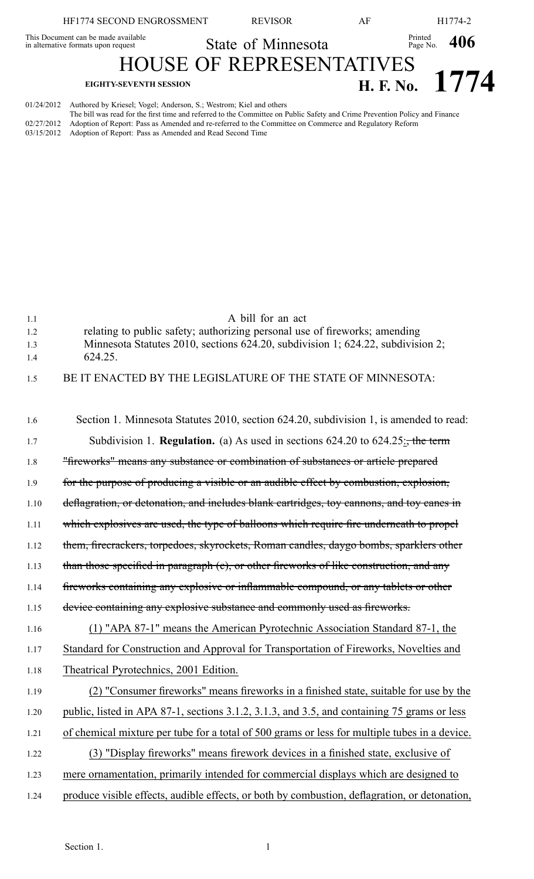|                                                                            | HF1774 SECOND ENGROSSMENT                                                     | <b>REVISOR</b>                  | ΑF |                        | H1774-2          |  |
|----------------------------------------------------------------------------|-------------------------------------------------------------------------------|---------------------------------|----|------------------------|------------------|--|
| This Document can be made available<br>in alternative formats upon request |                                                                               | State of Minnesota              |    | Printed Page No. $406$ |                  |  |
|                                                                            |                                                                               | <b>HOUSE OF REPRESENTATIVES</b> |    |                        |                  |  |
|                                                                            | <b>EIGHTY-SEVENTH SESSION</b>                                                 |                                 |    |                        | H. F. No. $1774$ |  |
|                                                                            | 01/24/2012 Authored by Kriesel; Vogel; Anderson, S.; Westrom; Kiel and others |                                 |    |                        |                  |  |

The bill was read for the first time and referred to the Committee on Public Safety and Crime Prevention Policy and Finance 02/27/2012 Adoption of Report: Pass as Amended and re-referred to the Committee on Commerce and Regulatory Reform 03/15/2012 Adoption of Report: Pass as Amended and Read Second Time

| 1.1  | A bill for an act                                                                             |
|------|-----------------------------------------------------------------------------------------------|
| 1.2  | relating to public safety; authorizing personal use of fireworks; amending                    |
| 1.3  | Minnesota Statutes 2010, sections 624.20, subdivision 1; 624.22, subdivision 2;               |
| 1.4  | 624.25.                                                                                       |
| 1.5  | BE IT ENACTED BY THE LEGISLATURE OF THE STATE OF MINNESOTA:                                   |
|      |                                                                                               |
|      |                                                                                               |
| 1.6  | Section 1. Minnesota Statutes 2010, section 624.20, subdivision 1, is amended to read:        |
| 1.7  | Subdivision 1. <b>Regulation.</b> (a) As used in sections $624.20$ to $624.25$ : the term     |
| 1.8  | "fireworks" means any substance or combination of substances or article prepared              |
| 1.9  | for the purpose of producing a visible or an audible effect by combustion, explosion,         |
| 1.10 | deflagration, or detonation, and includes blank cartridges, toy cannons, and toy canes in     |
| 1.11 | which explosives are used, the type of balloons which require fire underneath to propel       |
|      |                                                                                               |
| 1.12 | them, firecrackers, torpedoes, skyrockets, Roman candles, daygo bombs, sparklers other        |
| 1.13 | than those specified in paragraph (e), or other fireworks of like construction, and any       |
| 1.14 | fireworks containing any explosive or inflammable compound, or any tablets or other           |
| 1.15 | device containing any explosive substance and commonly used as fireworks.                     |
| 1.16 | (1) "APA 87-1" means the American Pyrotechnic Association Standard 87-1, the                  |
| 1.17 | Standard for Construction and Approval for Transportation of Fireworks, Novelties and         |
| 1.18 | Theatrical Pyrotechnics, 2001 Edition.                                                        |
| 1.19 | (2) "Consumer fireworks" means fireworks in a finished state, suitable for use by the         |
| 1.20 | public, listed in APA 87-1, sections 3.1.2, 3.1.3, and 3.5, and containing 75 grams or less   |
| 1.21 | of chemical mixture per tube for a total of 500 grams or less for multiple tubes in a device. |
| 1.22 | (3) "Display fireworks" means firework devices in a finished state, exclusive of              |
| 1.23 | mere ornamentation, primarily intended for commercial displays which are designed to          |
| 1.24 | produce visible effects, audible effects, or both by combustion, deflagration, or detonation, |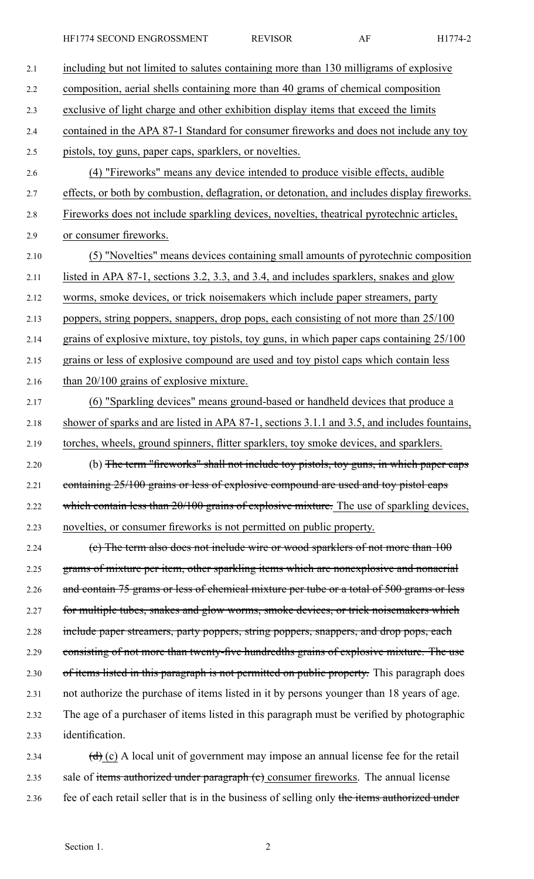HF1774 SECOND ENGROSSMENT REVISOR AF H1774-2

| 2.1  | including but not limited to salutes containing more than 130 milligrams of explosive                     |
|------|-----------------------------------------------------------------------------------------------------------|
| 2.2  | composition, aerial shells containing more than 40 grams of chemical composition                          |
| 2.3  | exclusive of light charge and other exhibition display items that exceed the limits                       |
| 2.4  | contained in the APA 87-1 Standard for consumer fireworks and does not include any toy                    |
| 2.5  | pistols, toy guns, paper caps, sparklers, or novelties.                                                   |
| 2.6  | (4) "Fireworks" means any device intended to produce visible effects, audible                             |
| 2.7  | effects, or both by combustion, deflagration, or detonation, and includes display fireworks.              |
| 2.8  | Fireworks does not include sparkling devices, novelties, theatrical pyrotechnic articles,                 |
| 2.9  | or consumer fireworks.                                                                                    |
| 2.10 | (5) "Novelties" means devices containing small amounts of pyrotechnic composition                         |
| 2.11 | listed in APA 87-1, sections 3.2, 3.3, and 3.4, and includes sparklers, snakes and glow                   |
| 2.12 | worms, smoke devices, or trick noisemakers which include paper streamers, party                           |
| 2.13 | poppers, string poppers, snappers, drop pops, each consisting of not more than 25/100                     |
| 2.14 | grains of explosive mixture, toy pistols, toy guns, in which paper caps containing 25/100                 |
| 2.15 | grains or less of explosive compound are used and toy pistol caps which contain less                      |
| 2.16 | than 20/100 grains of explosive mixture.                                                                  |
| 2.17 | (6) "Sparkling devices" means ground-based or handheld devices that produce a                             |
| 2.18 | shower of sparks and are listed in APA 87-1, sections 3.1.1 and 3.5, and includes fountains,              |
| 2.19 | torches, wheels, ground spinners, flitter sparklers, toy smoke devices, and sparklers.                    |
| 2.20 | (b) The term "fireworks" shall not include toy pistols, toy guns, in which paper caps                     |
| 2.21 | containing 25/100 grains or less of explosive compound are used and toy pistol caps                       |
| 2.22 | which contain less than 20/100 grains of explosive mixture. The use of sparkling devices,                 |
| 2.23 | novelties, or consumer fireworks is not permitted on public property.                                     |
| 2.24 | (c) The term also does not include wire or wood sparklers of not more than $100$                          |
| 2.25 | grams of mixture per item, other sparkling items which are nonexplosive and nonaerial                     |
| 2.26 | and contain 75 grams or less of chemical mixture per tube or a total of 500 grams or less                 |
| 2.27 | for multiple tubes, snakes and glow worms, smoke devices, or trick noisemakers which                      |
| 2.28 | include paper streamers, party poppers, string poppers, snappers, and drop pops, each                     |
| 2.29 | consisting of not more than twenty-five hundredths grains of explosive mixture. The use                   |
| 2.30 | of items listed in this paragraph is not permitted on public property. This paragraph does                |
| 2.31 | not authorize the purchase of items listed in it by persons younger than 18 years of age.                 |
| 2.32 | The age of a purchaser of items listed in this paragraph must be verified by photographic                 |
| 2.33 | identification.                                                                                           |
| 2.34 | $\left(\frac{d}{d}\right)$ (c) A local unit of government may impose an annual license fee for the retail |
| 2.35 | sale of items authorized under paragraph (e) consumer fireworks. The annual license                       |

2.36 fee of each retail seller that is in the business of selling only the items authorized under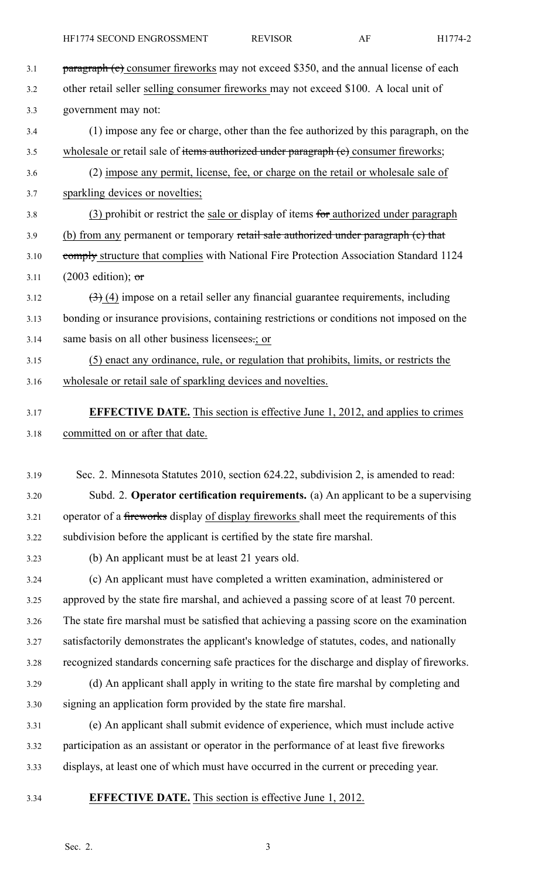- 3.1 **paragraph (c)** consumer fireworks may not exceed \$350, and the annual license of each 3.2 other retail seller selling consumer fireworks may not exceed \$100. A local unit of 3.3 government may not: 3.4 (1) impose any fee or charge, other than the fee authorized by this paragraph, on the 3.5 wholesale or retail sale of items authorized under paragraph (e) consumer fireworks; 3.6 (2) impose any permit, license, fee, or charge on the retail or wholesale sale of 3.7 sparkling devices or novelties; 3.8 (3) prohibit or restrict the sale or display of items for authorized under paragraph 3.9 (b) from any permanent or temporary retail sale authorized under paragraph (c) that 3.10 comply structure that complies with National Fire Protection Association Standard 1124
- 3.11 (2003 edition);  $\sigma$  $3.12$   $(3)$  (4) impose on a retail seller any financial guarantee requirements, including 3.13 bonding or insurance provisions, containing restrictions or conditions not imposed on the 3.14 same basis on all other business licensees.; or
- 3.15 (5) enact any ordinance, rule, or regulation that prohibits, limits, or restricts the 3.16 wholesale or retail sale of sparkling devices and novelties.
- 3.17 **EFFECTIVE DATE.** This section is effective June 1, 2012, and applies to crimes 3.18 committed on or after that date.
- 3.19 Sec. 2. Minnesota Statutes 2010, section 624.22, subdivision 2, is amended to read: 3.20 Subd. 2. **Operator certification requirements.** (a) An applicant to be <sup>a</sup> supervising 3.21 operator of a fireworks display of display fireworks shall meet the requirements of this 3.22 subdivision before the applicant is certified by the state fire marshal.
- 3.23 (b) An applicant must be at least 21 years old.
- 3.24 (c) An applicant must have completed <sup>a</sup> written examination, administered or 3.25 approved by the state fire marshal, and achieved <sup>a</sup> passing score of at least 70 percent. 3.26 The state fire marshal must be satisfied that achieving <sup>a</sup> passing score on the examination 3.27 satisfactorily demonstrates the applicant's knowledge of statutes, codes, and nationally 3.28 recognized standards concerning safe practices for the discharge and display of fireworks. 3.29 (d) An applicant shall apply in writing to the state fire marshal by completing and 3.30 signing an application form provided by the state fire marshal.
- 3.31 (e) An applicant shall submit evidence of experience, which must include active 3.32 participation as an assistant or operator in the performance of at least five fireworks 3.33 displays, at least one of which must have occurred in the current or preceding year.
- 
- 3.34 **EFFECTIVE DATE.** This section is effective June 1, 2012.